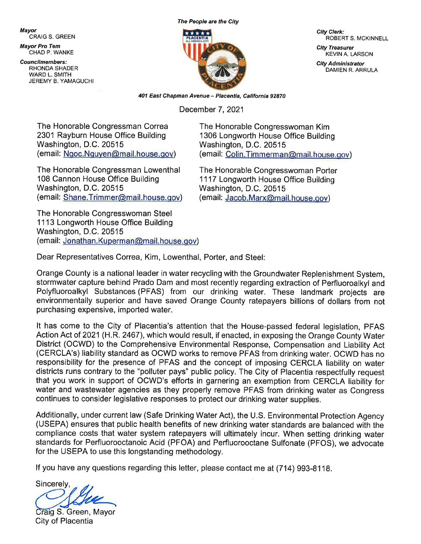Mavor CRAIG S. GREEN

**Mayor Pro Tem** CHAD P. WANKE

**Councilmembers:** RHONDA SHADER **WARD L. SMITH** JEREMY B. YAMAGUCHI \*\*\*\*\*

The People are the City

City Clerk: **ROBERT S. MCKINNELL** 

**City Treasurer KEVIN A. LARSON** 

**City Administrator** DAMIEN R. ARRULA

401 East Chapman Avenue - Placentia, California 92870

December 7, 2021

The Honorable Congressman Correa 2301 Rayburn House Office Building Washington, D.C. 20515 (email: Ngoc.Nguyen@mail.house.gov)

The Honorable Congressman Lowenthal 108 Cannon House Office Building Washington, D.C. 20515 (email. Shane.Trimmer@mail.house.gov)

The Honorable Congresswoman Steel 1113 Longworth House Office Building Washington, D.C. 20515 (email: Jonathan.Kuperman@mail.house.gov)

The Honorable Congresswoman Kim 1306 Longworth House Office Building Washington, D.C. 20515 (email: Colin.Timmerman@mail.house.gov)

The Honorable Congresswoman Porter 1117 Longworth House Office Building Washington, D.C. 20515 (email: Jacob.Marx@mail.house.gov)

Dear Representatives Correa, Kim, Lowenthal, Porter, and Steel:

Orange County is a national leader in water recycling with the Groundwater Replenishment System, stormwater capture behind Prado Dam and most recently regarding extraction of Perfluoroalkyl and Polyfluoroalkyl Substances (PFAS) from our drinking water. These landmark projects are environmentally superior and have saved Orange County ratepayers billions of dollars from not purchasing expensive, imported water.

It has come to the City of Placentia's attention that the House-passed federal legislation, PFAS Action Act of 2021 (H.R. 2467), which would result, if enacted, in exposing the Orange County Water District (OCWD) to the Comprehensive Environmental Response, Compensation and Liability Act (CERCLA's) liability standard as OCWD works to remove PFAS from drinking water. OCWD has no responsibility for the presence of PFAS and the concept of imposing CERCLA liability on water districts runs contrary to the "polluter pays" public policy. The City of Placentia respectfully request that you work in support of OCWD's efforts in garnering an exemption from CERCLA liability for water and wastewater agencies as they properly remove PFAS from drinking water as Congress continues to consider legislative responses to protect our drinking water supplies.

Additionally, under current law (Safe Drinking Water Act), the U.S. Environmental Protection Agency (USEPA) ensures that public health benefits of new drinking water standards are balanced with the compliance costs that water system ratepayers will ultimately incur. When setting drinking water standards for Perfluorooctanoic Acid (PFOA) and Perfluorooctane Sulfonate (PFOS), we advocate for the USEPA to use this longstanding methodology.

If you have any questions regarding this letter, please contact me at (714) 993-8118.

Sincerely,

Craig S. Green, Mayor City of Placentia